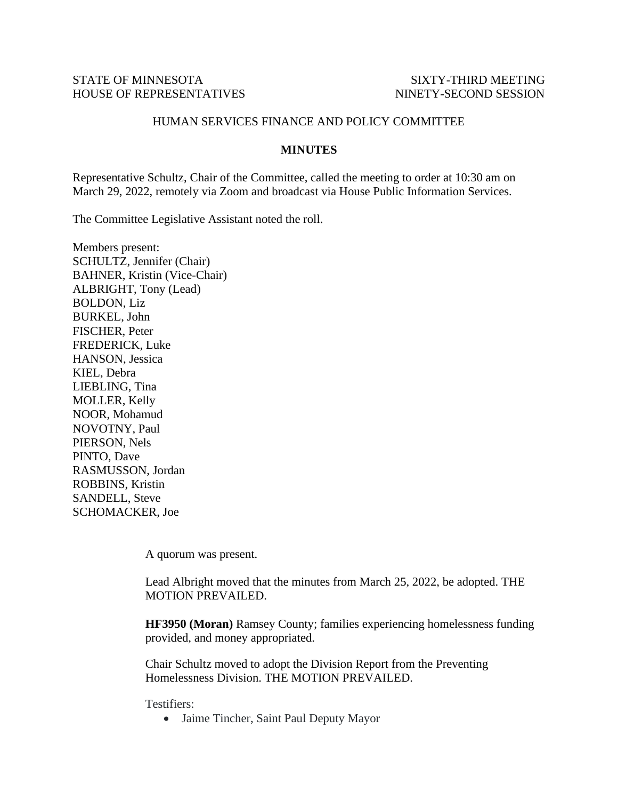## STATE OF MINNESOTA SIXTY-THIRD MEETING HOUSE OF REPRESENTATIVES NINETY-SECOND SESSION

## HUMAN SERVICES FINANCE AND POLICY COMMITTEE

## **MINUTES**

Representative Schultz, Chair of the Committee, called the meeting to order at 10:30 am on March 29, 2022, remotely via Zoom and broadcast via House Public Information Services.

The Committee Legislative Assistant noted the roll.

Members present: SCHULTZ, Jennifer (Chair) BAHNER, Kristin (Vice-Chair) ALBRIGHT, Tony (Lead) BOLDON, Liz BURKEL, John FISCHER, Peter FREDERICK, Luke HANSON, Jessica KIEL, Debra LIEBLING, Tina MOLLER, Kelly NOOR, Mohamud NOVOTNY, Paul PIERSON, Nels PINTO, Dave RASMUSSON, Jordan ROBBINS, Kristin SANDELL, Steve SCHOMACKER, Joe

A quorum was present.

Lead Albright moved that the minutes from March 25, 2022, be adopted. THE MOTION PREVAILED.

**HF3950 (Moran)** Ramsey County; families experiencing homelessness funding provided, and money appropriated.

Chair Schultz moved to adopt the Division Report from the Preventing Homelessness Division. THE MOTION PREVAILED.

Testifiers:

• Jaime Tincher, Saint Paul Deputy Mayor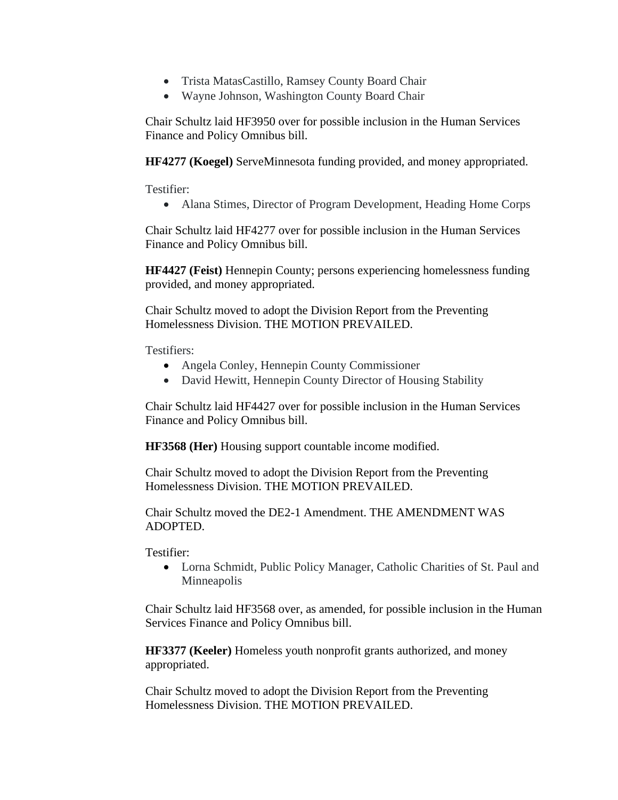- Trista MatasCastillo, Ramsey County Board Chair
- Wayne Johnson, Washington County Board Chair

Chair Schultz laid HF3950 over for possible inclusion in the Human Services Finance and Policy Omnibus bill.

**HF4277 (Koegel)** ServeMinnesota funding provided, and money appropriated.

Testifier:

• Alana Stimes, Director of Program Development, Heading Home Corps

Chair Schultz laid HF4277 over for possible inclusion in the Human Services Finance and Policy Omnibus bill.

**HF4427 (Feist)** Hennepin County; persons experiencing homelessness funding provided, and money appropriated.

Chair Schultz moved to adopt the Division Report from the Preventing Homelessness Division. THE MOTION PREVAILED.

Testifiers:

- Angela Conley, Hennepin County Commissioner
- David Hewitt, Hennepin County Director of Housing Stability

Chair Schultz laid HF4427 over for possible inclusion in the Human Services Finance and Policy Omnibus bill.

**HF3568 (Her)** Housing support countable income modified.

Chair Schultz moved to adopt the Division Report from the Preventing Homelessness Division. THE MOTION PREVAILED.

Chair Schultz moved the DE2-1 Amendment. THE AMENDMENT WAS ADOPTED.

Testifier:

• Lorna Schmidt, Public Policy Manager, Catholic Charities of St. Paul and Minneapolis

Chair Schultz laid HF3568 over, as amended, for possible inclusion in the Human Services Finance and Policy Omnibus bill.

**HF3377 (Keeler)** Homeless youth nonprofit grants authorized, and money appropriated.

Chair Schultz moved to adopt the Division Report from the Preventing Homelessness Division. THE MOTION PREVAILED.